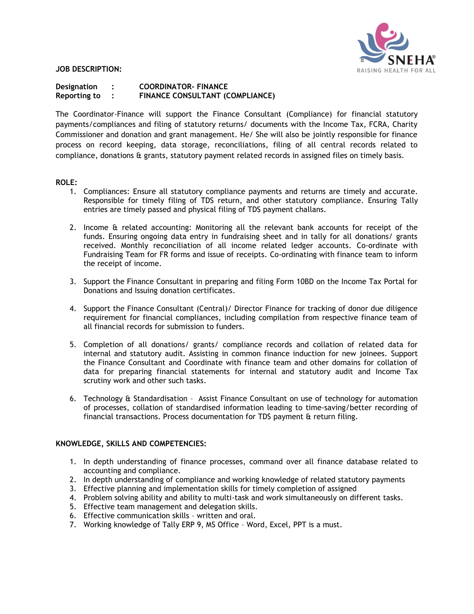

**JOB DESCRIPTION:** 

# **Designation : COORDINATOR- FINANCE Reporting to : FINANCE CONSULTANT (COMPLIANCE)**

The Coordinator-Finance will support the Finance Consultant (Compliance) for financial statutory payments/compliances and filing of statutory returns/ documents with the Income Tax, FCRA, Charity Commissioner and donation and grant management. He/ She will also be jointly responsible for finance process on record keeping, data storage, reconciliations, filing of all central records related to compliance, donations & grants, statutory payment related records in assigned files on timely basis.

#### **ROLE:**

- 1. Compliances: Ensure all statutory compliance payments and returns are timely and accurate. Responsible for timely filing of TDS return, and other statutory compliance. Ensuring Tally entries are timely passed and physical filing of TDS payment challans.
- 2. Income & related accounting: Monitoring all the relevant bank accounts for receipt of the funds. Ensuring ongoing data entry in fundraising sheet and in tally for all donations/ grants received. Monthly reconciliation of all income related ledger accounts. Co-ordinate with Fundraising Team for FR forms and issue of receipts. Co-ordinating with finance team to inform the receipt of income.
- 3. Support the Finance Consultant in preparing and filing Form 10BD on the Income Tax Portal for Donations and Issuing donation certificates.
- 4. Support the Finance Consultant (Central)/ Director Finance for tracking of donor due diligence requirement for financial compliances, including compilation from respective finance team of all financial records for submission to funders.
- 5. Completion of all donations/ grants/ compliance records and collation of related data for internal and statutory audit. Assisting in common finance induction for new joinees. Support the Finance Consultant and Coordinate with finance team and other domains for collation of data for preparing financial statements for internal and statutory audit and Income Tax scrutiny work and other such tasks.
- 6. Technology & Standardisation Assist Finance Consultant on use of technology for automation of processes, collation of standardised information leading to time-saving/better recording of financial transactions. Process documentation for TDS payment & return filing.

#### **KNOWLEDGE, SKILLS AND COMPETENCIES:**

- 1. In depth understanding of finance processes, command over all finance database related to accounting and compliance.
- 2. In depth understanding of compliance and working knowledge of related statutory payments
- 3. Effective planning and implementation skills for timely completion of assigned
- 4. Problem solving ability and ability to multi-task and work simultaneously on different tasks.
- 5. Effective team management and delegation skills.
- 6. Effective communication skills written and oral.
- 7. Working knowledge of Tally ERP 9, MS Office Word, Excel, PPT is a must.